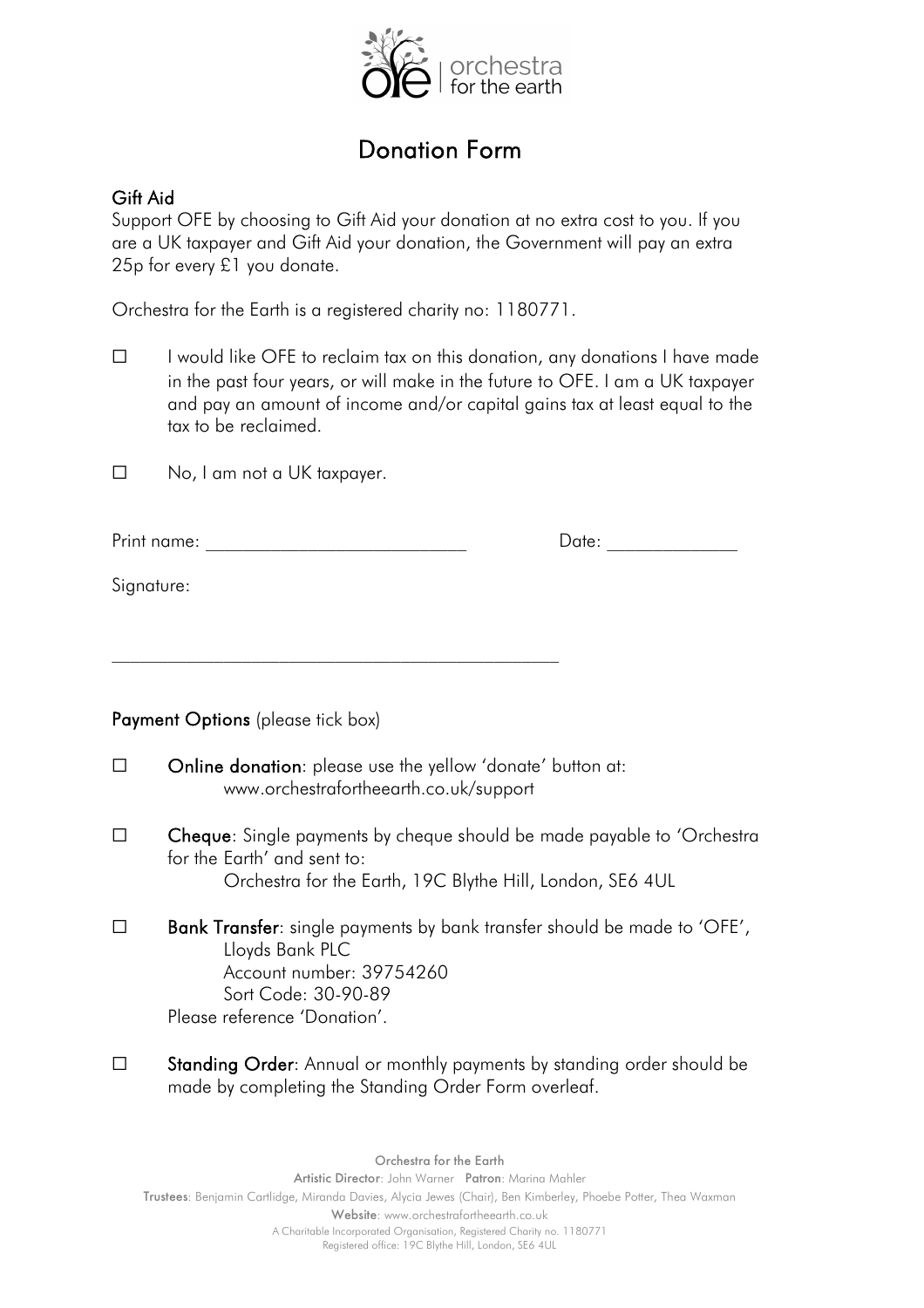

## Donation Form

## Gift Aid

Support OFE by choosing to Gift Aid your donation at no extra cost to you. If you are a UK taxpayer and Gift Aid your donation, the Government will pay an extra 25p for every £1 you donate.

Orchestra for the Earth is a registered charity no: 1180771.

☐ I would like OFE to reclaim tax on this donation, any donations I have made in the past four years, or will make in the future to OFE. I am a UK taxpayer and pay an amount of income and/or capital gains tax at least equal to the tax to be reclaimed.

☐ No, I am not a UK taxpayer.

| Print<br>''''''' |  |
|------------------|--|
|------------------|--|

Signature:

Payment Options (please tick box)

- ☐ Online donation: please use the yellow 'donate' button at: www.orchestrafortheearth.co.uk/support
- ☐ Cheque: Single payments by cheque should be made payable to 'Orchestra for the Earth' and sent to: Orchestra for the Earth, 19C Blythe Hill, London, SE6 4UL
- $\square$  Bank Transfer: single payments by bank transfer should be made to 'OFE', Lloyds Bank PLC Account number: 39754260 Sort Code: 30-90-89 Please reference 'Donation'.
- ☐ Standing Order: Annual or monthly payments by standing order should be made by completing the Standing Order Form overleaf.